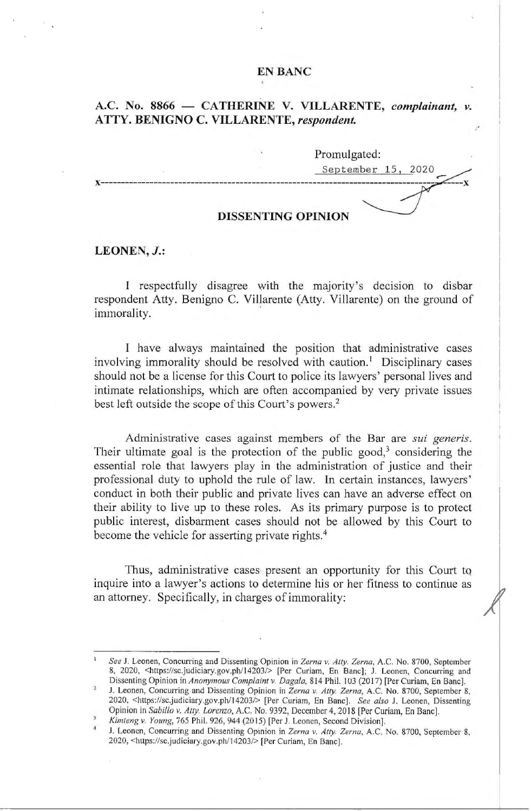## **EN BANC**

# A.C. No. 8866 - CATHERINE V. VILLARENTE, *complainant*, v. **ATTY. BENIGNO C. VILLARENTE,** *respondent.*

|  | Promulgated:       |  |
|--|--------------------|--|
|  | September 15, 2020 |  |
|  |                    |  |
|  |                    |  |

#### **DISSENTING OPINION**

### **LEONEN,** *J.:*

I respectfully disagree with the majority's decision to disbar respondent Atty. Benigno C. Villarente (Atty. Villarente) on the ground of immorality.

I have always maintained the position that administrative cases involving immorality should be resolved with caution.<sup>1</sup> Disciplinary cases should not be a license for this Court to police its lawyers' personal lives and intimate relationships, which are often accompanied by very private issues best left outside the scope of this Court's powers.<sup>2</sup>

Administrative cases against members of the Bar are *sui generis.*  Their ultimate goal is the protection of the public good,<sup>3</sup> considering the essential role that lawyers play in the administration of justice and their professional duty to uphold the rule of law. In certain instances, lawyers' conduct in both their public and private lives can have an adverse effect on their ability to live up to these roles. As its primary purpose is to protect public interest, disbarment cases should not be allowed by this Court to become the vehicle for asserting private rights. $4$ 

Thus, administrative cases-present an opportunity for this Court to inquire into a lawyer's actions to determine his or her fitness to continue as an attorney. Specifically, in charges of immorality:

*See* J. Leonen, Concurring and Dissenting Opinion in *Zema v. Atty. Zema,* A.C. No. 8700, September 8, 2020, <https://sc.judiciary.gov.ph/14203/> [Per Curiam, En Banc]; J. Leonen, Concurring and Dissenting Opinion in *Anonymous Complaint v. Dagala*, 814 Phil. 103 (2017) [Per Curiam, En Banc].

J. Leonen, Concurring and Dissenting Opinion in *Zema* v. *Atty. Zerna,* A.C. No. 8700, September 8, 2020, <https://sc.judiciary.gov.ph/ 14203/> [Per Curiam, En Banc]. *See also* J. Leonen, Dissenting Opinion in *Sabillo v. Atty. Lorenzo*, A.C. No. 9392, December 4, 2018 [Per Curiam, En Banc].

*Kimteng v. Young,* 765 Phil. 926, 944(2015) [Per J. Leanen, Second Division].

J. Leonen, Concurring and Dissenting Opinion in *Zerna v. Atty. Zerna,* A.C. No. 8700, September 8, 2020, <https://sc.judiciary.gov.ph/ 14203/> [Per Curiam, En Banc].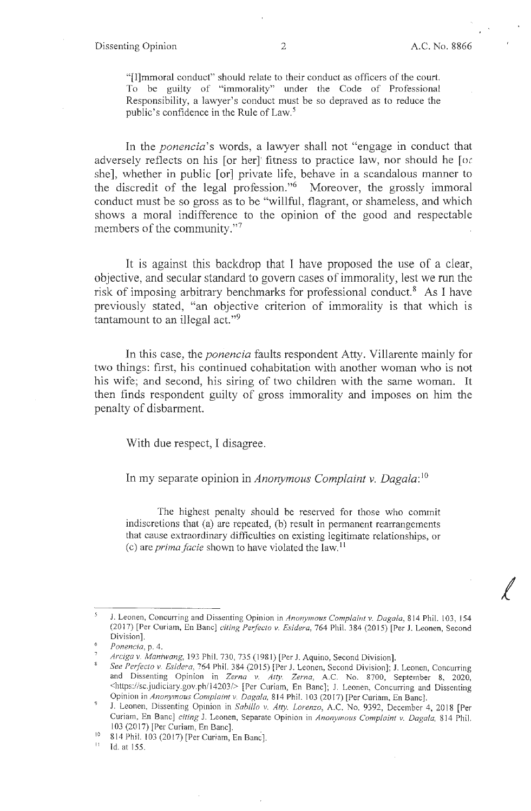*f* 

"[l]mmoral conduct" should relate to their conduct as officers of the court. To be guilty of "immorality" under the Code of Professional Responsibility, a lawyer's conduct must be so depraved as to reduce the public's confidence in the Rule of Law.<sup>5</sup>

In the *ponencia*'s words, a lawyer shall not "engage in conduct that adversely reflects on his [or her] fitness to practice law, nor should he [o $\epsilon$ ] she], whether in public [or] private life, behave in a scandalous manner to the discredit of the legal profession."6 Moreover, the grossly immoral conduct must be so gross as to be "willful, flagrant, or shameless, and which shows a moral indifference to the opinion of the good and respectable members of the community."<sup>7</sup>

It is against this backdrop that I have proposed the use of a clear, objective, and secular standard to govern cases of immorality, lest we run the risk of imposing arbitrary benchmarks for professional conduct.<sup>8</sup> As I have previously stated, "an objective criterion of immorality is that which is tantamount to an illegal act."<sup>9</sup>

In this case, the *ponencia* faults respondent Atty. Villarente mainly for two things: first, his continued cohabitation with another woman who is not his wife; and second, his siring of two children with the same woman. It then finds respondent guilty of gross immorality and imposes on him the penalty of disbarment.

With due respect, I disagree.

In my separate opinion in *Anonymous Complaint v. Dagala:* <sup>10</sup>

The highest penalty should be reserved for those who commit indiscretions that (a) are repeated, (b) result in permanent rearrangements that cause extraordinary difficulties on existing legitimate relationships, or (c) are *prima facie* shown to have violated the law.<sup>11</sup>

Id. at 155.

J. Leonen, Concurring and Dissenting Opinion in *Anonymous Complaint v. Dagala,* 814 Phil. 103, 154 (2017) [Per Curiam, En Banc] *citing Perfecto v. Esidera*, 764 Phil. 384 (2015) [Per J. Leonen, Second Division].

<sup>6</sup>*Ponencia,* p. 4.

Arciga v. Maniwang, 193 Phil. 730, 735 (1981) [Per J. Aquino, Second Division].

*See Perfecto* v. *Esidera,* 764 Phil. 384 (2015) [Per J. Leonen, Second Division]; J. Leonen, Concurring and Dissenting Opinion in *Zerna v. Atty. Zerna,* A.C. No. 8700, September 8, 2020, <https://sc .judiciary.gov.ph/l 4203/> [Per Curiam, En Banc]; J. Leonen, Concurring and Dissenting

J. Leonen, Dissenting Opinion in *Sabillo v. Atty. Lorenzo*, A.C. No. 9392, December 4, 2018 [Per Curiarn, En Banc] *citing* J. Leonen, Separate Opinion in *Anonymous Complaint v. Dagata,* 814 Phil. 103 (2017) [Per Curiam, En Banc].

<sup>&</sup>lt;sup>10</sup> 814 Phil. 103 (2017) [Per Curiam, En Banc].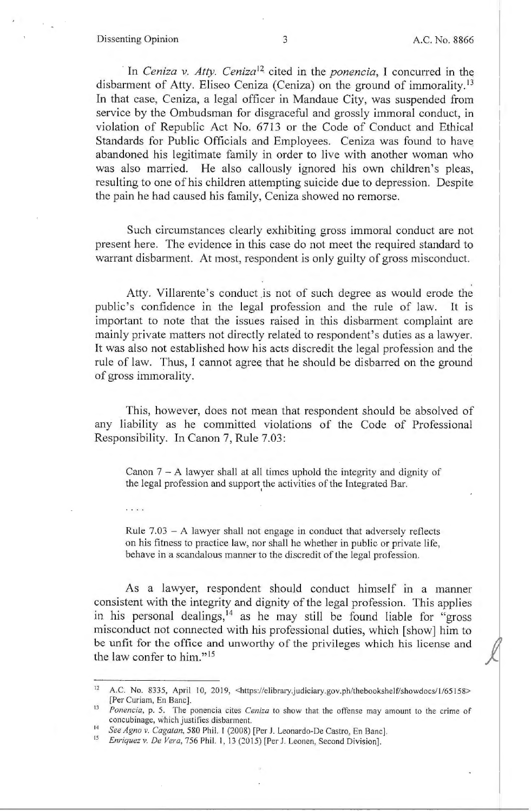#### Dissenting Opinion 3 3 A.C. No. 8866

 $\cdots$ 

*j* 

In *Ceniza v. Atty. Ceniza*<sup>12</sup> cited in the *ponencia*, I concurred in the disbarment of Atty. Eliseo Ceniza (Ceniza) on the ground of immorality.<sup>13</sup> In that case, Ceniza, a legal officer in Mandaue City, was suspended from service by the Ombudsman for disgraceful and grossly immoral conduct, in violation of Republic Act No. 6713 or the Code of Conduct and Ethical Standards for Public Officials and Employees. Ceniza was found to have abandoned his legitimate family in order to live with another woman who was also married. He also callously ignored his own children's pleas, resulting to one of his children attempting suicide due to depression. Despite the pain he had caused his family, Ceniza showed no remorse.

Such circumstances clearly exhibiting gross immoral conduct are not present here. The evidence in this case do not meet the required standard to warrant disbarment. At most, respondent is only guilty of gross misconduct.

Atty. Villarente's conduct .is not of such degree as would erode the public's confidence in the legal profession and the rule of law. It is important to note that the issues raised in this disbarment complaint are mainly private matters not directly related to respondent's duties as a lawyer. It was also not established how his acts discredit the legal profession and the rule of law. Thus, I cannot agree that he should be disbarred on the ground of gross immorality.

This, however, does not mean that respondent should be absolved of any liability as he committed violations of the Code of Professional Responsibility. In Canon 7, Rule 7.03:

Canon  $7 - A$  lawyer shall at all times uphold the integrity and dignity of the legal profession and support the activities of the Integrated Bar.

Rule  $7.03 - A$  lawyer shall not engage in conduct that adversely reflects on his fitness to practice law, nor shall he whether in public or private life, behave in a scandalous manner to the discredit of the legal profession.

As a lawyer, respondent should conduct himself in a manner consistent with the integrity and dignity of the legal profession. This applies in his personal dealings,  $14$  as he may still be found liable for "gross" misconduct not connected with his professional duties, which [show] him to be unfit for the office and unworthy of the privileges which his license and the law confer to him." <sup>15</sup>

<sup>12</sup> A.C. No. 8335, April 10, 2019, <https://elibrary.judiciary.gov.ph/thebookshelf/showdocs/1/65158> [Per Curiam, En Banc].

<sup>13</sup>*Ponencia,* p. 5. The ponencia cites *Ceniza* to show that the offense may amount to the crime of concubinage, which justifies disbarment.

<sup>14</sup>*See Agna v. Cagatan,* 580 Phil. I (2008) [Per J. Leonardo-De Castro, En Banc].

<sup>&</sup>lt;sup>15</sup> Enriquez v. De Vera, 756 Phil. 1, 13 (2015) [Per J. Leonen, Second Division].